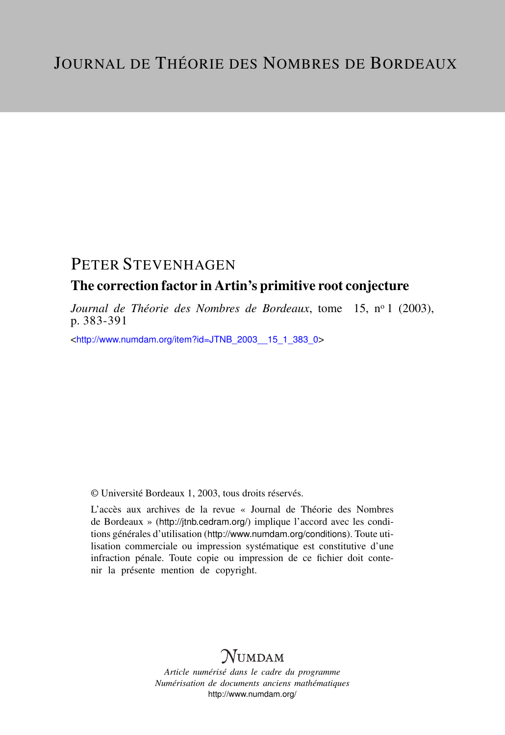# PETER STEVENHAGEN

### The correction factor in Artin's primitive root conjecture

*Journal de Théorie des Nombres de Bordeaux*, tome 15, n<sup>o</sup> 1 (2003), p. 383-391

<[http://www.numdam.org/item?id=JTNB\\_2003\\_\\_15\\_1\\_383\\_0](http://www.numdam.org/item?id=JTNB_2003__15_1_383_0)>

© Université Bordeaux 1, 2003, tous droits réservés.

L'accès aux archives de la revue « Journal de Théorie des Nombres de Bordeaux » (<http://jtnb.cedram.org/>) implique l'accord avec les conditions générales d'utilisation (<http://www.numdam.org/conditions>). Toute utilisation commerciale ou impression systématique est constitutive d'une infraction pénale. Toute copie ou impression de ce fichier doit contenir la présente mention de copyright.

# **NUMDAM**

*Article numérisé dans le cadre du programme Numérisation de documents anciens mathématiques* <http://www.numdam.org/>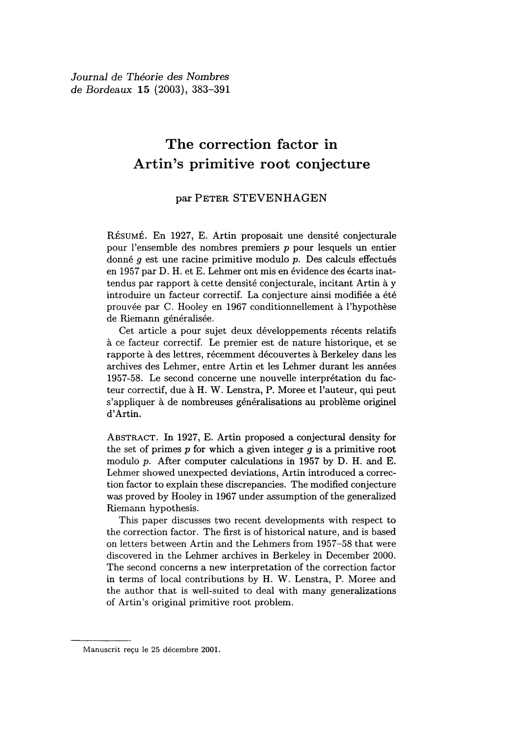Journal de Théorie des Nombres de Bordeaux 15 (2003), 383-391

# The correction factor in Artin's primitive root conjecture

#### par PETER STEVENHAGEN

RÉSUMÉ. En 1927, E. Artin proposait une densité conjecturale pour l'ensemble des nombres premiers p pour lesquels un entier donné g est une racine primitive modulo p. Des calculs effectués en 1957 par D. H. et E. Lehmer ont mis en évidence des écarts inattendus par rapport à cette densité conjecturale, incitant Artin à y introduire un facteur correctif. La conjecture ainsi modifiée a été prouvée par C. Hooley en 1967 conditionnellement à l'hypothèse de Riemann généralisée.

Cet article a pour sujet deux développements récents relatifs à ce facteur correctif. Le premier est de nature historique, et se rapporte à des lettres, récemment découvertes à Berkeley dans les archives des Lehmer, entre Artin et les Lehmer durant les années 1957-58. Le second concerne une nouvelle interprétation du facteur correctif, due à H. W. Lenstra, P. Moree et l'auteur, qui peut s'appliquer à de nombreuses généralisations au problème originel d'Artin.

ABSTRACT. In 1927, E. Artin proposed a conjectural density for the set of primes  $p$  for which a given integer  $g$  is a primitive root modulo p. After computer calculations in 1957 by D. H. and E. Lehmer showed unexpected deviations, Artin introduced a correction factor to explain these discrepancies. The modified conjecture was proved by Hooley in 1967 under assumption of the generalized Riemann hypothesis.

This paper discusses two recent developments with respect to the correction factor. The first is of historical nature, and is based on letters between Artin and the Lehmers from 1957-58 that were discovered in the Lehmer archives in Berkeley in December 2000. The second concerns a new interpretation of the correction factor in terms of local contributions by H. W. Lenstra, P. Moree and the author that is well-suited to deal with many generalizations of Artin's original primitive root problem.

Manuscrit reçu le 25 décembre 2001.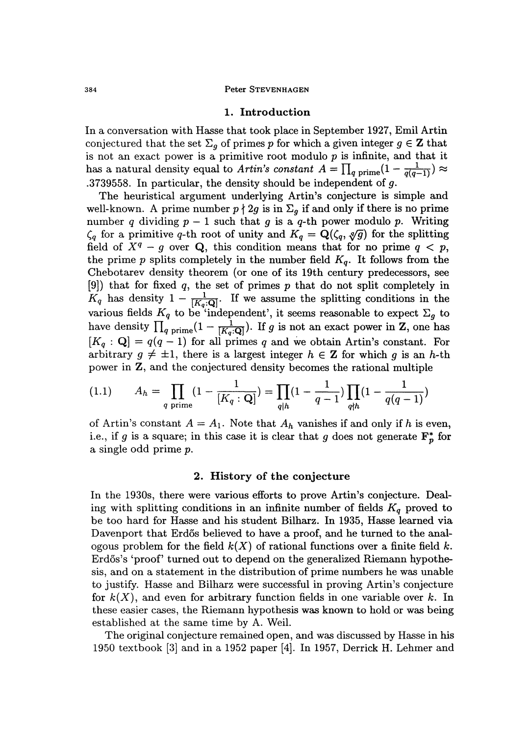#### Peter STEVENHAGEN

#### 1. Introduction

In a conversation with Hasse that took place in September 1927, Emil Artin conjectured that the set  $\Sigma_g$  of primes p for which a given integer  $g \in \mathbb{Z}$  that is not an exact power is a primitive root modulo  $p$  is infinite, and that it has a natural density equal to Artin's constant  $A = \prod_{q \text{ prime}} \left(1 - \frac{1}{q(q-1)}\right) \approx$ .3739558. In particular, the density should be independent of  $g$ .

The heuristical argument underlying Artin's conjecture is simple and well-known. A prime number  $p \nmid 2g$  is in  $\Sigma_g$  if and only if there is no prime number q dividing  $p - 1$  such that g is a q-th power modulo p. Writing  $\zeta_q$  for a primitive q-th root of unity and  $K_q = \mathbf{Q}(\zeta_q, \sqrt[q]{g})$  for the splitting field of  $X^q - g$  over Q, this condition means that for no prime  $q < p$ , the prime p splits completely in the number field  $K_q$ . It follows from the Chebotarev density theorem (or one of its 19th century predecessors, see [9]) that for fixed q, the set of primes  $p$  that do not split completely in  $K_q$  has density  $1 - \frac{1}{[K_q:Q]}$ . If we assume the splitting conditions in the various fields  $K_q$  to be 'independent', it seems reasonable to expect  $\Sigma_g$  to have density  $\prod_{q \text{ prime}} (1 - \frac{1}{[K_q : \mathbf{Q}]}).$  If g is not an exact power in Z, one has  $[K_q: Q] = q(q-1)$  for all primes q and we obtain Artin's constant. For arbitrary  $g \neq \pm 1$ , there is a largest integer  $h \in \mathbb{Z}$  for which g is an h-th power in Z, and the conjectured density becomes the rational multiple

$$
(1.1) \qquad A_h = \prod_{q \text{ prime}} \left(1 - \frac{1}{[K_q : \mathbf{Q}]} \right) = \prod_{q \mid h} \left(1 - \frac{1}{q - 1}\right) \prod_{q \nmid h} \left(1 - \frac{1}{q(q - 1)}\right)
$$

of Artin's constant  $A = A_1$ . Note that  $A_h$  vanishes if and only if h is even, i.e., if g is a square; in this case it is clear that g does not generate  $\mathbf{F}_p^*$  for a single odd prime p.

#### 2. History of the conjecture

In the 1930s, there were various efforts to prove Artin's conjecture. Dealing with splitting conditions in an infinite number of fields  $K_q$  proved to be too hard for Hasse and his student Bilharz. In 1935, Hasse learned via Davenport that Erdős believed to have a proof, and he turned to the analogous problem for the field  $k(X)$  of rational functions over a finite field k. Erd6s's 'proof' turned out to depend on the generalized Riemann hypothesis, and on a statement in the distribution of prime numbers he was unable to justify. Hasse and Bilharz were successful in proving Artin's conjecture for  $k(X)$ , and even for arbitrary function fields in one variable over k. In these easier cases, the Riemann hypothesis was known to hold or was being established at the same time by A. Weil.

The original conjecture remained open, and was discussed by Hasse in his 1950 textbook [3] and in a 1952 paper [4]. In 1957, Derrick H. Lehmer and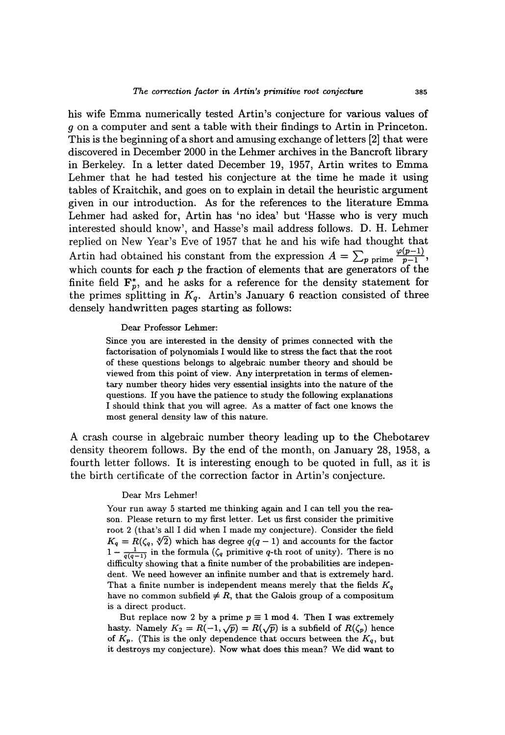his wife Emma numerically tested Artin's conjecture for various values of g on a computer and sent a table with their findings to Artin in Princeton. This is the beginning of a short and amusing exchange of letters [2] that were discovered in December 2000 in the Lehmer archives in the Bancroft library in Berkeley. In a letter dated December 19, 1957, Artin writes to Emma Lehmer that he had tested his conjecture at the time he made it using tables of Kraitchik, and goes on to explain in detail the heuristic argument given in our introduction. As for the references to the literature Emma Lehmer had asked for, Artin has 'no idea' but 'Hasse who is very much interested should know', and Hasse's mail address follows. D. H. Lehmer replied on New Year's Eve of 1957 that he and his wife had thought that Artin had obtained his constant from the expression  $A = \sum_{p \text{ prime}} \frac{\varphi(p-1)}{p-1}$ , which counts for each  $p$  the fraction of elements that are generators of the finite field  $\mathbf{F}_{p}^{*}$ , and he asks for a reference for the density statement for the primes splitting in  $K_q$ . Artin's January 6 reaction consisted of three densely handwritten pages starting as follows:

#### Dear Professor Lehmer:

Since you are interested in the density of primes connected with the factorisation of polynomials I would like to stress the fact that the root of these questions belongs to algebraic number theory and should be viewed from this point of view. Any interpretation in terms of elementary number theory hides very essential insights into the nature of the questions. If you have the patience to study the following explanations I should think that you will agree. As a matter of fact one knows the most general density law of this nature.

A crash course in algebraic number theory leading up to the Chebotarev density theorem follows. By the end of the month, on January 28, 1958, a fourth letter follows. It is interesting enough to be quoted in full, as it is the birth certificate of the correction factor in Artin's conjecture.

#### Dear Mrs Lehmer!

Your run away 5 started me thinking again and I can tell you the reason. Please return to my first letter. Let us first consider the primitive root 2 (that's all I did when I made my conjecture). Consider the field  $K_q = R(\zeta_q, \sqrt[q]{2})$  which has degree  $q(q-1)$  and accounts for the factor  $1 - \frac{1}{q(q-1)}$  in the formula  $(\zeta_q$  primitive q-th root of unity). There is no difficulty showing that a finite number of the probabilities are independent. We need however an infinite number and that is extremely hard. That a finite number is independent means merely that the fields  $K_q$ have no common subfield  $\neq R$ , that the Galois group of a compositum is a direct product.

But replace now 2 by a prime  $p \equiv 1 \mod 4$ . Then I was extremely hasty. Namely  $K_2 = R(-1, \sqrt{p}) = R(\sqrt{p})$  is a subfield of  $R(\zeta_p)$  hence of  $K_p$ . (This is the only dependence that occurs between the  $K_q$ , but it destroys my conjecture). Now what does this mean? We did want to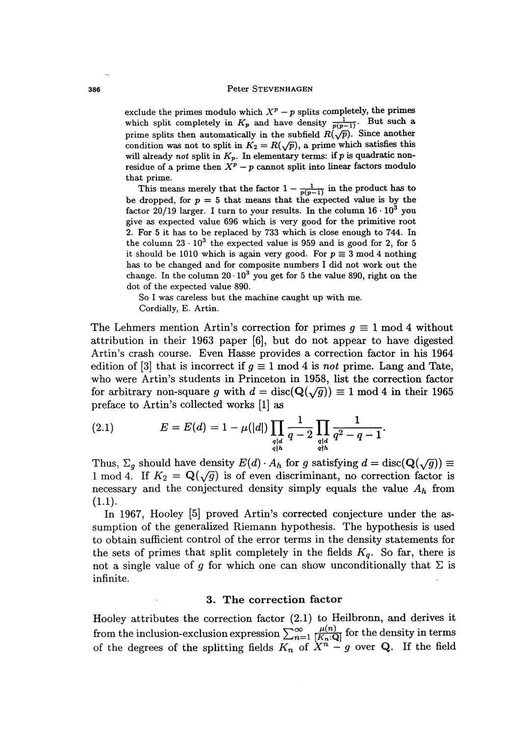exclude the primes modulo which  $X^p - p$  splits completely, the primes which split completely in  $K_p$  and have density  $\frac{1}{p(p-1)}$ . But such a prime splits then automatically in the subfield  $R(\sqrt{\overline{p}})$ . Since another condition was not to split in  $K_2 = R(\sqrt{p})$ , a prime which satisfies this will already not split in  $K_p$ . In elementary terms: if p is quadratic nonresidue of a prime then  $X^p - p$  cannot split into linear factors modulo that prime.

This means merely that the factor  $1 - \frac{1}{p(p-1)}$  in the product has to be dropped, for  $p = 5$  that means that the expected value is by the factor 20/19 larger. I turn to your results. In the column  $16 \cdot 10^3$  you give as expected value 696 which is very good for the primitive root 2. For 5 it has to be replaced by 733 which is close enough to 744. In the column  $23 \cdot 10^3$  the expected value is 959 and is good for 2, for 5 it should be 1010 which is again very good. For  $p \equiv 3 \text{ mod } 4$  nothing has to be changed and for composite numbers I did not work out the change. In the column  $20 \cdot 10^3$  you get for 5 the value 890, right on the dot of the expected value 890.

So I was careless but the machine caught up with me. Cordially, E. Artin.

The Lehmers mention Artin's correction for primes  $q \equiv 1 \mod 4$  without attribution in their 1963 paper [6], but do not appear to have digested Artin's crash course. Even Hasse provides a correction factor in his 1964 edition of [3] that is incorrect if  $g \equiv 1 \mod 4$  is not prime. Lang and Tate, who were Artin's students in Princeton in 1958, list the correction factor for arbitrary non-square g with  $d = \text{disc}(\mathbf{Q}(\sqrt{g})) \equiv 1 \text{ mod } 4$  in their 1965 preface to Artin's collected works [1] as

(2.1) 
$$
E = E(d) = 1 - \mu(|d|) \prod_{\substack{q|d\\ q\nmid h}} \frac{1}{q-2} \prod_{\substack{q|d\\ q\nmid h}} \frac{1}{q^2-q-1}.
$$

Thus,  $\Sigma_g$  should have density  $E(d) \cdot A_h$  for g satisfying  $d = \text{disc}(\mathbf{Q}(\sqrt{g})) \equiv$ 1 mod 4. If  $K_2 = \mathbf{Q}(\sqrt{g})$  is of even discriminant, no correction factor is necessary and the conjectured density simply equals the value  $A_h$  from (1.1).

In 1967, Hooley [5] proved Artin's corrected conjecture under the assumption of the generalized Riemann hypothesis. The hypothesis is used to obtain sufficient control of the error terms in the density statements for the sets of primes that split completely in the fields  $K_q$ . So far, there is not a single value of g for which one can show unconditionally that  $\Sigma$  is infinite. The contract of the contract of the contract of the contract of the contract of the contract of the contract of the contract of the contract of the contract of the contract of the contract of the contract of the

#### . 3. The correction factor

Hooley attributes the correction factor (2.1) to Heilbronn, and derives it from the inclusion-exclusion expression  $\sum_{n=1}^{\infty} \frac{\mu(n)}{[K_n:Q]}$  for the density in terms of the degrees of the splitting fields  $K_n$  of  $X^n - g$  over Q. If the field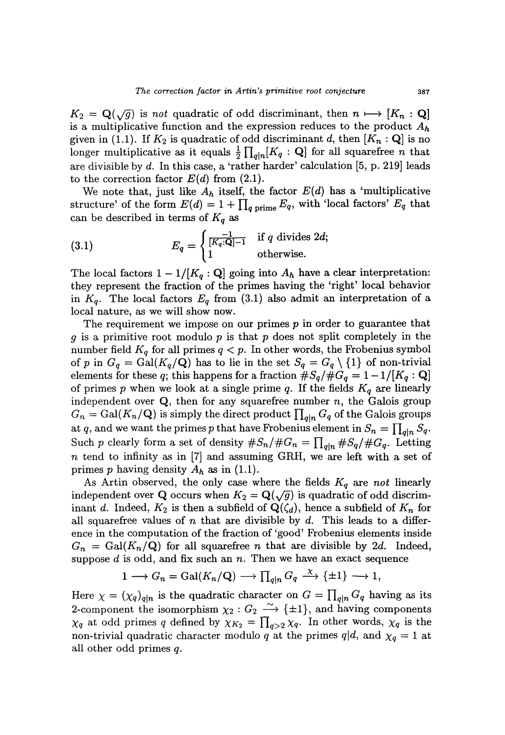The correction factor in Artin's primitive root conjecture<br>  $K_2 = \mathbf{Q}(\sqrt{g})$  is not quadratic of odd discriminant, then  $n \mapsto [K_n : \mathbf{Q}]$ is a multiplicative function and the expression reduces to the product  $A_h$ given in (1.1). If  $K_2$  is quadratic of odd discriminant d, then  $[K_n : \mathbf{Q}]$  is no longer multiplicative as it equals  $\frac{1}{2} \prod_{q|n} [K_q : \mathbf{Q}]$  for all squarefree n that are divisible by d. In this case, a 'rather harder' calculation [5, p. 219] leads to the correction factor  $E(d)$  from  $(2.1)$ .

We note that, just like  $A_h$  itself, the factor  $E(d)$  has a 'multiplicative structure' of the form  $E(d) = 1 + \prod_{q \text{ prime}} E_q$ , with 'local factors'  $E_q$  that can be described in terms of  $K_q$  as

(3.1) 
$$
E_q = \begin{cases} \frac{-1}{[K_q:\mathbf{Q}]-1} & \text{if } q \text{ divides } 2d; \\ 1 & \text{otherwise.} \end{cases}
$$

The local factors  $1 - 1/[K_q : \mathbf{Q}]$  going into  $A_h$  have a clear interpretation: they represent the fraction of the primes having the 'right' local behavior in  $K_q$ . The local factors  $E_q$  from (3.1) also admit an interpretation of a local nature, as we will show now.

The requirement we impose on our primes  $p$  in order to guarantee that g is a primitive root modulo p is that p does not split completely in the number field  $K_q$  for all primes  $q < p$ . In other words, the Frobenius symbol of p in  $G_q = \text{Gal}(K_q/\mathbf{Q})$  has to lie in the set  $S_q = G_q \setminus \{1\}$  of non-trivial elements for these q; this happens for a fraction  $\#S_q/\#G_q = 1-1/[K_q : \mathbf{Q}]$ of primes p when we look at a single prime q. If the fields  $K_q$  are linearly independent over  $Q$ , then for any squarefree number  $n$ , the Galois group  $G_n = \text{Gal}(K_n/\mathbf{Q})$  is simply the direct product  $\prod_{q|n} G_q$  of the Galois groups at q, and we want the primes p that have Frobenius element in  $S_n = \prod_{q|n} S_q$ . Such p clearly form a set of density  $\#S_n/\#G_n = \prod_{q|n} \#S_q/\#G_q$ . Letting n tend to infinity as in [7] and assuming GRH, we are left with a set of primes p having density  $A_h$  as in (1.1).

As Artin observed, the only case where the fields  $K_q$  are not linearly independent over Q occurs when  $K_2 = \mathbf{Q}(\sqrt{g})$  is quadratic of odd discriminant d. Indeed,  $K_2$  is then a subfield of  $\mathbf{Q}(\zeta_d)$ , hence a subfield of  $K_n$  for all squarefree values of n that are divisible by d. This leads to a difference in the computation of the fraction of 'good' Frobenius elements inside  $G_n = \text{Gal}(K_n/\mathbf{Q})$  for all squarefree n that are divisible by 2d. Indeed, suppose  $d$  is odd, and fix such an  $n$ . Then we have an exact sequence

$$
1 \longrightarrow G_n = \text{Gal}(K_n/\mathbf{Q}) \longrightarrow \prod_{q|n} G_q \stackrel{\chi}{\longrightarrow} \{\pm 1\} \longrightarrow 1,
$$

Here  $\chi = (\chi_q)_{q|n}$  is the quadratic character on  $G = \prod_{q|n} G_q$  having as its 2-component the isomorphism  $\chi_2 : G_2 \longrightarrow {\pm 1}$ , and having components  $\chi_q$  at odd primes q defined by  $\chi_{K_2} = \prod_{q>2} \chi_q$ . In other words,  $\chi_q$  is the non-trivial quadratic character modulo q at the primes  $q|d$ , and  $\chi_q = 1$  at all other odd primes q.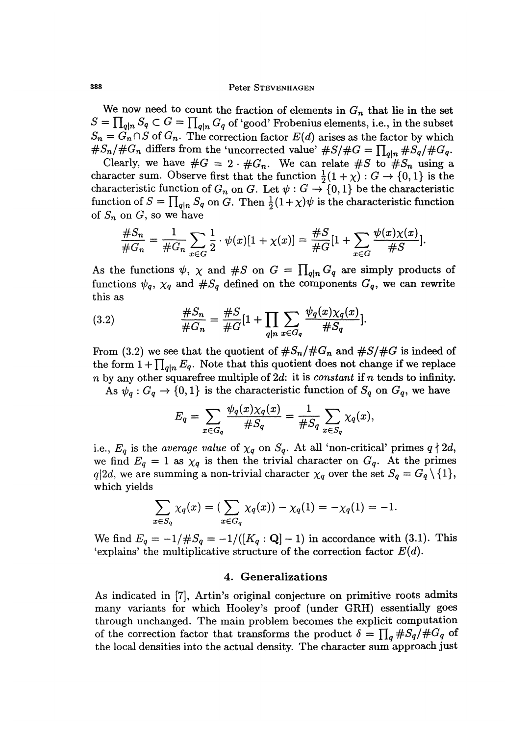#### Peter STEVENHAGEN

We now need to count the fraction of elements in  $G_n$  that lie in the set  $S = \prod_{q|n} S_q \subset G = \prod_{q|n} G_q$  of 'good' Frobenius elements, i.e., in the subset  $S_n = \overrightarrow{G}_n \cap S$  of  $G_n$ . The correction factor  $E(d)$  arises as the factor by which  $\#S_n/\#G_n$  differs from the 'uncorrected value'  $\#S/\#G = \prod_{q|n} \#S_q/\#G_q$ .

Clearly, we have  $\#G = 2 \cdot \#G_n$ . We can relate  $\#S$  to  $\#S_n$  using a character sum. Observe first that the function  $\frac{1}{2}(1 + \chi) : G \to \{0,1\}$  is the characteristic function of  $G_n$  on G. Let  $\psi: G \to \{0,1\}$  be the characteristic function of  $S = \prod_{q|n} S_q$  on G. Then  $\frac{1}{2}(1+\chi)\psi$  is the characteristic function of  $S_n$  on G, so we have

$$
\frac{\#S_n}{\#G_n} = \frac{1}{\#G_n} \sum_{x \in G} \frac{1}{2} \cdot \psi(x) [1 + \chi(x)] = \frac{\#S}{\#G} [1 + \sum_{x \in G} \frac{\psi(x) \chi(x)}{\#S}].
$$

As the functions  $\psi$ ,  $\chi$  and  $\#S$  on  $G = \prod_{q|n} G_q$  are simply products of functions  $\psi_q$ ,  $\chi_q$  and  $\#S_q$  defined on the components  $G_q$ , we can rewrite this as

(3.2) 
$$
\frac{\#S_n}{\#G_n} = \frac{\#S}{\#G} [1 + \prod_{q|n} \sum_{x \in G_q} \frac{\psi_q(x) \chi_q(x)}{\#S_q}].
$$

From (3.2) we see that the quotient of  $#S_n/\#G_n$  and  $#S/\#G$  is indeed of the form  $1+\prod_{\substack{oln}} E_q$ . Note that this quotient does not change if we replace  $n$  by any other squarefree multiple of 2d: it is constant if n tends to infinity.

As  $\psi_q: G_q \to \{0,1\}$  is the characteristic function of  $S_q$  on  $G_q$ , we have

$$
E_q = \sum_{x \in G_q} \frac{\psi_q(x) \chi_q(x)}{\#S_q} = \frac{1}{\#S_q} \sum_{x \in S_q} \chi_q(x),
$$

i.e.,  $E_q$  is the average value of  $\chi_q$  on  $S_q$ . At all 'non-critical' primes  $q \nmid 2d$ , we find  $E_q = 1$  as  $\chi_q$  is then the trivial character on  $G_q$ . At the primes  $q|2d$ , we are summing a non-trivial character  $\chi_q$  over the set  $S_q = G_q \setminus \{1\}$ , which yields

$$
\sum_{x \in S_q} \chi_q(x) = (\sum_{x \in G_q} \chi_q(x)) - \chi_q(1) = -\chi_q(1) = -1.
$$

We find  $E_q = -1/||E_q|| = -1/((K_q : \mathbf{Q}]-1)$  in accordance with (3.1). This 'explains' the multiplicative structure of the correction factor  $E(d)$ .

#### 4. Generalizations

As indicated in [7], Artin's original conjecture on primitive roots admits many variants for which Hooley's proof (under GRH) essentially goes through unchanged. The main problem becomes the explicit computation of the correction factor that transforms the product  $\delta = \prod_{q} \#S_{q}/\#G_{q}$  of the local densities into the actual density. The character sum approach just

388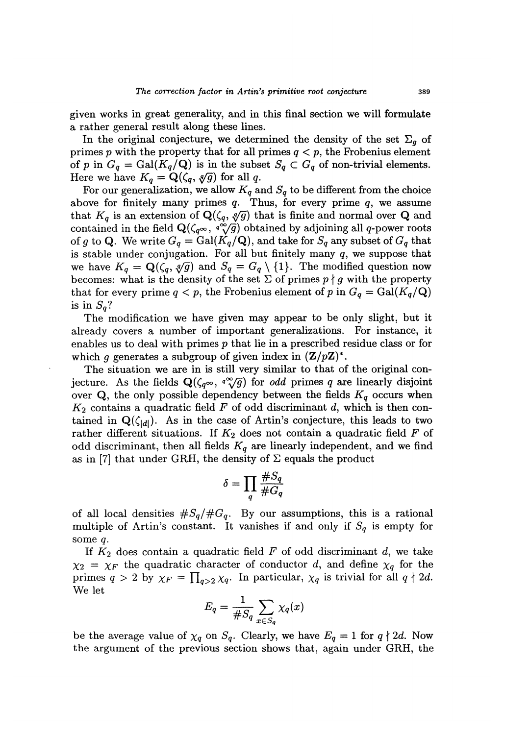given works in great generality, and in this final section we will formulate a rather general result along these lines.

In the original conjecture, we determined the density of the set  $\Sigma_g$  of primes p with the property that for all primes  $q < p$ , the Frobenius element of p in  $G_q = \text{Gal}(K_q/\mathbf{Q})$  is in the subset  $S_q \subset G_q$  of non-trivial elements. Here we have  $K_q = \mathbf{Q}(\zeta_q, \sqrt[q]{g})$  for all q.

For our generalization, we allow  $K_q$  and  $S_q$  to be different from the choice above for finitely many primes  $q$ . Thus, for every prime  $q$ , we assume that  $K_q$  is an extension of  $\mathbf{Q}(\zeta_q, \sqrt[q]{g})$  that is finite and normal over Q and contained in the field  $\mathbf{Q}(\zeta_q \infty, q^{\infty}(\overline{g})$  obtained by adjoining all q-power roots of g to Q. We write  $G_q = \text{Gal}(K_q/\mathbf{Q})$ , and take for  $S_q$  any subset of  $G_q$  that is stable under conjugation. For all but finitely many  $q$ , we suppose that we have  $K_q = \mathbf{Q}(\zeta_q, \sqrt[q]{g})$  and  $S_q = G_q \setminus \{1\}$ . The modified question now becomes: what is the density of the set  $\Sigma$  of primes  $p \nmid g$  with the property that for every prime  $q < p$ , the Frobenius element of p in  $G_q = \text{Gal}(K_q/\mathbf{Q})$ is in  $S_a$ ?

The modification we have given may appear to be only slight, but it already covers a number of important generalizations. For instance, it enables us to deal with primes p that lie in a prescribed residue class or for which g generates a subgroup of given index in  $(\mathbf{Z}/p\mathbf{Z})^*$ .

The situation we are in is still very similar to that of the original con-<br>jecture. As the fields  $\mathbf{Q}(\zeta_q \infty, q^{\infty}(\overline{g}))$  for *odd* primes q are linearly disjoint over Q, the only possible dependency between the fields  $K_q$  occurs when  $K_2$  contains a quadratic field F of odd discriminant d, which is then contained in  $\mathbf{Q}(\zeta_{[d]})$ . As in the case of Artin's conjecture, this leads to two rather different situations. If  $K_2$  does not contain a quadratic field  $F$  of odd discriminant, then all fields  $K_q$  are linearly independent, and we find as in [7] that under GRH, the density of  $\Sigma$  equals the product

$$
\delta = \prod_q \frac{\#S_q}{\#G_q}
$$

of all local densities  $\#S_q/\#G_q$ . By our assumptions, this is a rational multiple of Artin's constant. It vanishes if and only if  $S_q$  is empty for some q.

If  $K_2$  does contain a quadratic field  $F$  of odd discriminant d, we take  $\chi_2 = \chi_F$  the quadratic character of conductor d, and define  $\chi_q$  for the primes  $q > 2$  by  $\chi_F = \prod_{q>2} \chi_q$ . In particular,  $\chi_q$  is trivial for all  $q \nmid 2d$ . We let

$$
E_q = \frac{1}{\#S_q} \sum_{x \in S_q} \chi_q(x)
$$

be the average value of  $\chi_q$  on  $S_q$ . Clearly, we have  $E_q = 1$  for  $q \nmid 2d$ . Now the argument of the previous section shows that, again under GRH, the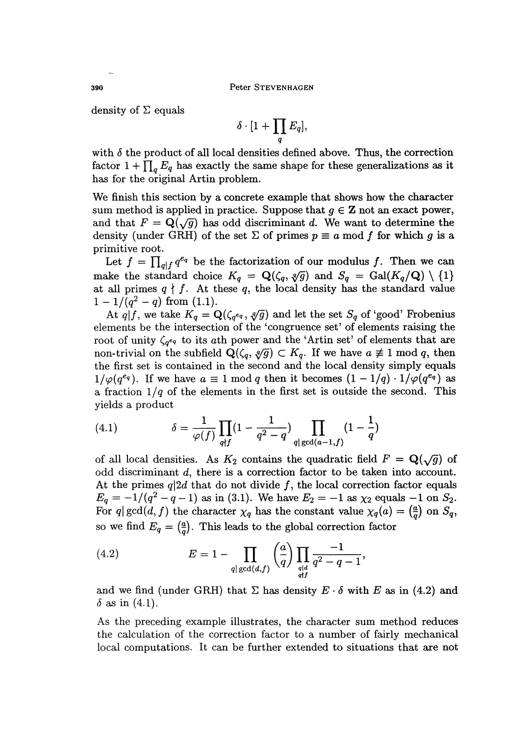density of  $\Sigma$  equals

$$
\delta\cdot[1+\prod_q E_q],
$$

with  $\delta$  the product of all local densities defined above. Thus, the correction factor  $1 + \prod_{q} E_q$  has exactly the same shape for these generalizations as it has for the original Artin problem.

We finish this section by a concrete example that shows how the character sum method is applied in practice. Suppose that  $q \in \mathbb{Z}$  not an exact power, and that  $F = Q(\sqrt{g})$  has odd discriminant d. We want to determine the density (under GRH) of the set  $\Sigma$  of primes  $p \equiv a \mod f$  for which g is a primitive root.

Let  $f = \prod_{d \mid f} q^{e_q}$  be the factorization of our modulus f. Then we can make the standard choice  $K_q = \mathbf{Q}(\zeta_q, \sqrt[q]{g})$  and  $S_q = \text{Gal}(K_q/\mathbf{Q}) \setminus \{1\}$ at all primes  $q \nmid f$ . At these q, the local density has the standard value  $1 - 1/(q^2 - q)$  from (1.1).

At  $q|f$ , we take  $K_q = \mathbf{Q}(\zeta_{q^{eq}}, \sqrt[q]{g})$  and let the set  $S_q$  of 'good' Frobenius elements be the intersection of the 'congruence set' of elements raising the root of unity  $\zeta_{q^{eq}}$  to its ath power and the 'Artin set' of elements that are non-trivial on the subfield  $\mathbf{Q}(\zeta_q, \sqrt[q]{g}) \subset K_q$ . If we have  $a \not\equiv 1 \mod q$ , then the first set is contained in the second and the local density simply equals  $1/\varphi(q^{e_q})$ . If we have  $a \equiv 1 \mod q$  then it becomes  $(1 - 1/q) \cdot 1/\varphi(q^{e_q})$  as a fraction  $1/q$  of the elements in the first set is outside the second. This yields a product

(4.1) 
$$
\delta = \frac{1}{\varphi(f)} \prod_{q \nmid f} (1 - \frac{1}{q^2 - q}) \prod_{q \mid \gcd(a-1,f)} (1 - \frac{1}{q})
$$

of all local densities. As  $K_2$  contains the quadratic field  $F = \mathbf{Q}(\sqrt{g})$  of odd discriminant d, there is a correction factor to be taken into account. At the primes  $q|2d$  that do not divide f, the local correction factor equals  $E_q = -1/(q^2 - q - 1)$  as in (3.1). We have  $E_2 = -1$  as  $\chi_2$  equals  $-1$  on  $S_2$ .<br>For  $q \mid \gcd(d, f)$  the character  $\chi_q$  has the constant value  $\chi_q(a) = \left(\frac{a}{q}\right)$  on  $S_q$ , so we find  $E_q = \left(\frac{a}{q}\right)$ . This leads to the global correction factor

(4.2) 
$$
E = 1 - \prod_{q | \gcd(d, f)} \left(\frac{a}{q}\right) \prod_{\substack{q | d \\ q \nmid f}} \frac{-1}{q^2 - q - 1},
$$

and we find (under GRH) that  $\Sigma$  has density  $E \cdot \delta$  with E as in (4.2) and  $\delta$  as in (4.1).

As the preceding example illustrates, the character sum method reduces the calculation of the correction factor to a number of fairly mechanical local computations. It can be further extended to situations that are not

390